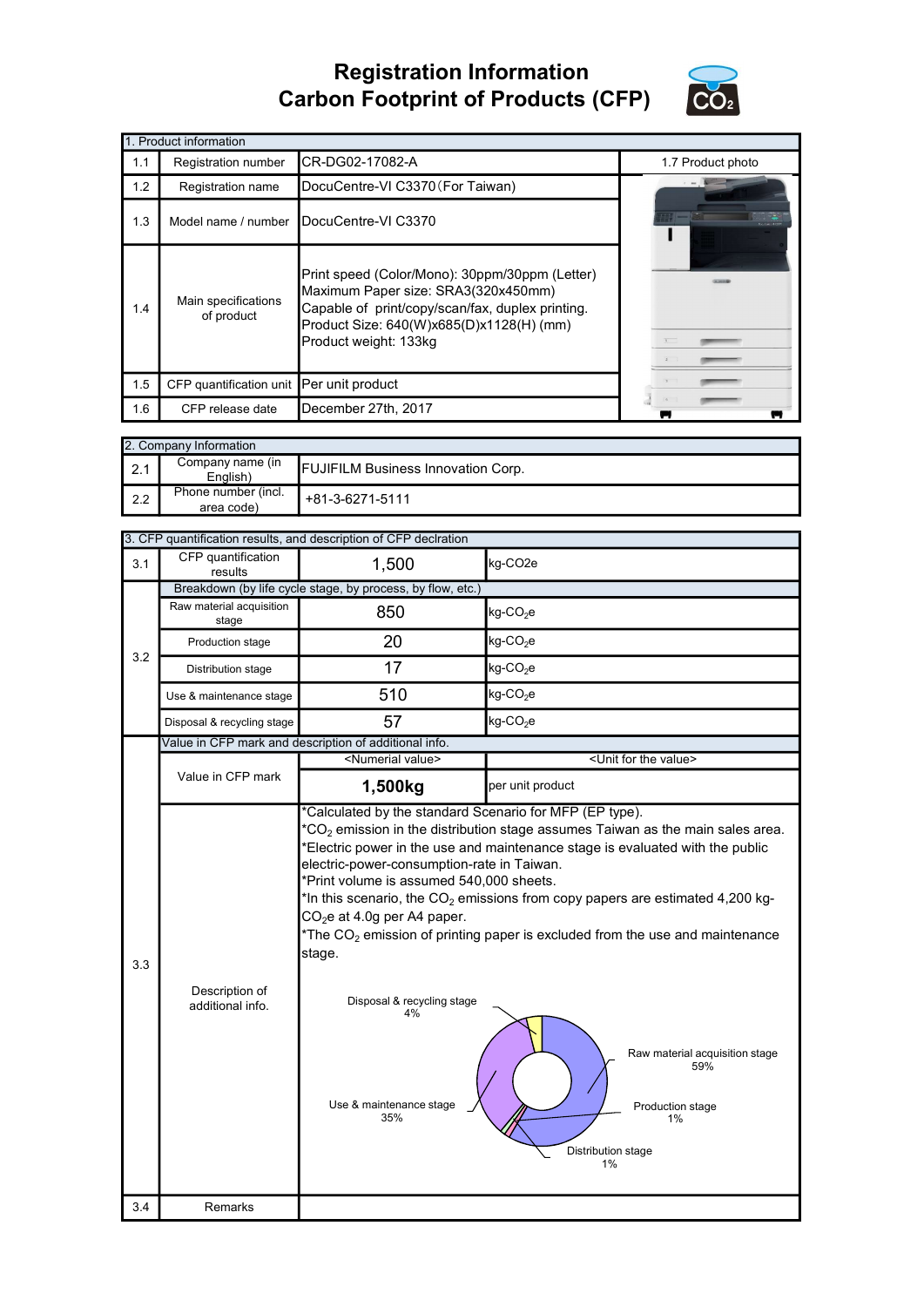## Registration Information Carbon Footprint of Products (CFP)



|     | 1. Product information                   |                                                                                                                                                                                                                |                   |
|-----|------------------------------------------|----------------------------------------------------------------------------------------------------------------------------------------------------------------------------------------------------------------|-------------------|
| 1.1 | Registration number                      | CR-DG02-17082-A                                                                                                                                                                                                | 1.7 Product photo |
| 1.2 | Registration name                        | DocuCentre-VI C3370 (For Taiwan)                                                                                                                                                                               |                   |
| 1.3 | Model name / number                      | DocuCentre-VI C3370                                                                                                                                                                                            |                   |
| 1.4 | Main specifications<br>of product        | Print speed (Color/Mono): 30ppm/30ppm (Letter)<br>Maximum Paper size: SRA3(320x450mm)<br>Capable of print/copy/scan/fax, duplex printing.<br>Product Size: 640(W)x685(D)x1128(H) (mm)<br>Product weight: 133kg |                   |
| 1.5 | CFP quantification unit Per unit product |                                                                                                                                                                                                                |                   |
| 1.6 | CFP release date                         | December 27th, 2017                                                                                                                                                                                            |                   |

|     | 2. Company Information            |                                           |  |  |  |
|-----|-----------------------------------|-------------------------------------------|--|--|--|
|     | Company name (in<br>English)      | <b>FUJIFILM Business Innovation Corp.</b> |  |  |  |
| 2.2 | Phone number (incl.<br>area code) | +81-3-6271-5111                           |  |  |  |

|     | 3. CFP quantification results, and description of CFP declration |                                                                                                                                                                                                                   |                                                                                                                                                                                                                                                                                                                                                   |  |  |  |
|-----|------------------------------------------------------------------|-------------------------------------------------------------------------------------------------------------------------------------------------------------------------------------------------------------------|---------------------------------------------------------------------------------------------------------------------------------------------------------------------------------------------------------------------------------------------------------------------------------------------------------------------------------------------------|--|--|--|
| 3.1 | CFP quantification<br>1,500<br>kg-CO <sub>2e</sub><br>results    |                                                                                                                                                                                                                   |                                                                                                                                                                                                                                                                                                                                                   |  |  |  |
|     |                                                                  | Breakdown (by life cycle stage, by process, by flow, etc.)                                                                                                                                                        |                                                                                                                                                                                                                                                                                                                                                   |  |  |  |
|     | Raw material acquisition<br>stage                                | 850                                                                                                                                                                                                               | $kg$ -CO <sub>2</sub> e                                                                                                                                                                                                                                                                                                                           |  |  |  |
| 3.2 | Production stage                                                 | 20                                                                                                                                                                                                                | $kg$ -CO <sub>2</sub> e                                                                                                                                                                                                                                                                                                                           |  |  |  |
|     | Distribution stage                                               | 17                                                                                                                                                                                                                | kg-CO <sub>2</sub> e                                                                                                                                                                                                                                                                                                                              |  |  |  |
|     | Use & maintenance stage                                          | 510                                                                                                                                                                                                               | $kg$ -CO <sub>2</sub> e                                                                                                                                                                                                                                                                                                                           |  |  |  |
|     | Disposal & recycling stage                                       | 57                                                                                                                                                                                                                | $kg$ -CO <sub>2</sub> e                                                                                                                                                                                                                                                                                                                           |  |  |  |
|     |                                                                  | Value in CFP mark and description of additional info.                                                                                                                                                             |                                                                                                                                                                                                                                                                                                                                                   |  |  |  |
|     |                                                                  | <numerial value=""></numerial>                                                                                                                                                                                    | <unit for="" the="" value=""></unit>                                                                                                                                                                                                                                                                                                              |  |  |  |
|     | Value in CFP mark                                                | 1,500kg                                                                                                                                                                                                           | per unit product                                                                                                                                                                                                                                                                                                                                  |  |  |  |
| 3.3 | Description of<br>additional info.                               | electric-power-consumption-rate in Taiwan.<br>*Print volume is assumed 540,000 sheets.<br>CO <sub>2</sub> e at 4.0g per A4 paper.<br>stage.<br>Disposal & recycling stage<br>4%<br>Use & maintenance stage<br>35% | *Electric power in the use and maintenance stage is evaluated with the public<br>*In this scenario, the $CO2$ emissions from copy papers are estimated 4,200 kg-<br>*The $CO2$ emission of printing paper is excluded from the use and maintenance<br>Raw material acquisition stage<br>59%<br>Production stage<br>1%<br>Distribution stage<br>1% |  |  |  |
| 3.4 | Remarks                                                          |                                                                                                                                                                                                                   |                                                                                                                                                                                                                                                                                                                                                   |  |  |  |